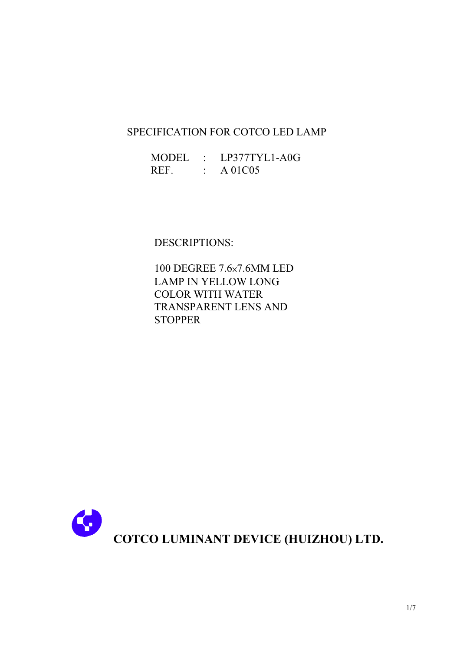## SPECIFICATION FOR COTCO LED LAMP

| <b>MODEL</b> | LP377TYL1-A0G |
|--------------|---------------|
| REF.         | A 01C05       |

DESCRIPTIONS:

100 DEGREE 7.6x7.6MM LED **LAMP IN YELLOW LONG COLOR WITH WATER TRANSPARENT LENS AND STOPPER** 

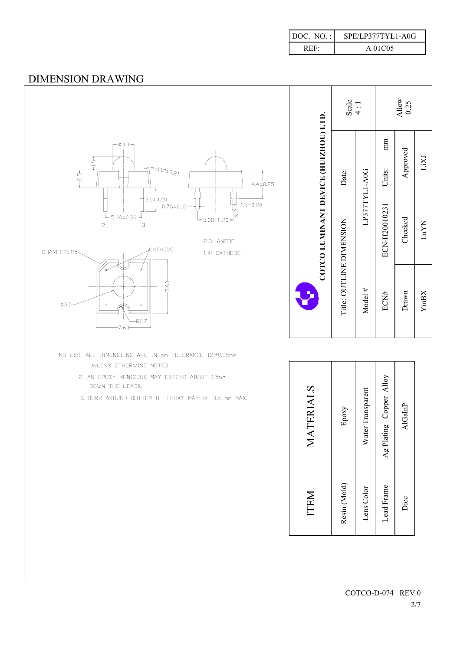| DOC. NO.: | SPE/LP377TYL1-A0G |
|-----------|-------------------|
| R E.F.    | A 01C05           |

## **DIMENSION DRAWING**

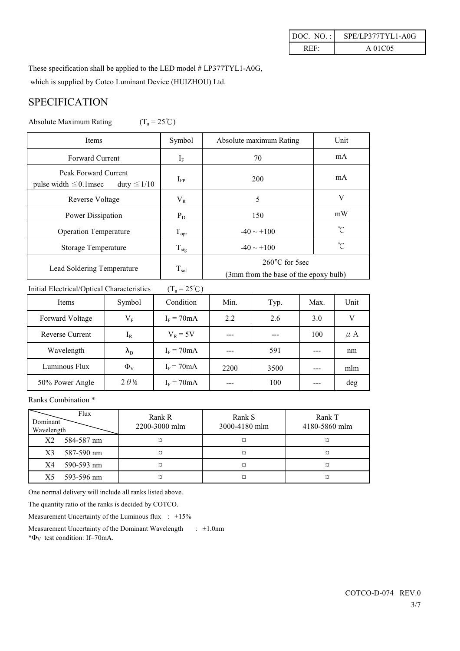| SPE/LP377TYL1-A0G<br>DOC. $NO.$ : |         |  |  |
|-----------------------------------|---------|--|--|
| REF.                              | A 01C05 |  |  |

These specification shall be applied to the LED model # LP377TYL1-A0G,

which is supplied by Cotco Luminant Device (HUIZHOU) Ltd.

# **SPECIFICATION**

Absolute Maximum Rating  $(T_a = 25^{\circ}C)$ 

| <b>Items</b>                                                            | Symbol           | Absolute maximum Rating                                           | Unit        |  |
|-------------------------------------------------------------------------|------------------|-------------------------------------------------------------------|-------------|--|
| <b>Forward Current</b>                                                  | $\rm I_{F}$      | 70                                                                | mA          |  |
| Peak Forward Current<br>pulse width $\leq 0.1$ msec<br>duty $\leq 1/10$ | $I_{FP}$         | 200                                                               | mA          |  |
| Reverse Voltage                                                         | $V_{R}$          | 5                                                                 | V           |  |
| Power Dissipation                                                       | $P_D$            | 150                                                               | mW          |  |
| <b>Operation Temperature</b>                                            | $T_{\text{opr}}$ | $-40 \sim +100$                                                   | $^{\circ}C$ |  |
| Storage Temperature                                                     | $T_{\text{stg}}$ | $-40 \sim +100$                                                   | °C          |  |
| Lead Soldering Temperature                                              | $\rm T_{sol}$    | $260^{\circ}$ C for 5sec<br>(3mm from the base of the epoxy bulb) |             |  |

Initial Electrical/Optical Characteristics  $(T_a = 25^{\circ}C)$ 

| Items           | Symbol            | Condition     | Min. | Typ. | Max. | Unit    |
|-----------------|-------------------|---------------|------|------|------|---------|
| Forward Voltage | $V_{\rm F}$       | $I_F = 70mA$  | 2.2  | 2.6  | 3.0  |         |
| Reverse Current | $\rm I_R$         | $V_R = 5V$    |      |      | 100  | $\mu$ A |
| Wavelength      | $\lambda_{\rm D}$ | $I_F = 70mA$  | ---  | 591  |      | nm      |
| Luminous Flux   | $\Phi_{V}$        | $I_F$ = 70 mA | 2200 | 3500 |      | mlm     |
| 50% Power Angle | $2\theta\%$       | $I_F = 70mA$  | ---  | 100  |      | deg     |

Ranks Combination\*

| Flux<br>Dominant<br>Wavelength | Rank R<br>2200-3000 mlm | Rank S<br>3000-4180 mlm | Rank T<br>4180-5860 mlm |
|--------------------------------|-------------------------|-------------------------|-------------------------|
| X2<br>584-587 nm               | ¤                       |                         |                         |
| X3<br>587-590 nm               |                         | ¤                       | ¤                       |
| 590-593 nm<br>X4               | ¤                       | ¤                       | ¤                       |
| 593-596 nm<br>X5               | ¤                       |                         | ¤                       |

One normal delivery will include all ranks listed above.

The quantity ratio of the ranks is decided by COTCO.

Measurement Uncertainty of the Luminous flux :  $\pm 15\%$ 

Measurement Uncertainty of the Dominant Wavelength  $\pm 1.0$ nm \* $\Phi_{V}$  test condition: If=70mA.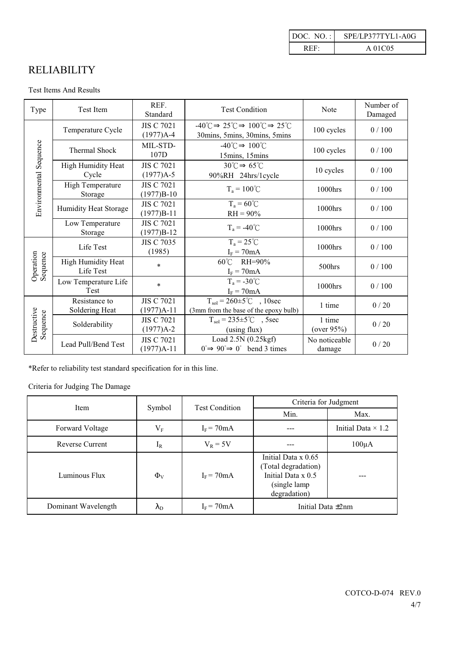| DOC. $NO.$ : | SPE/LP377TYL1-A0G |
|--------------|-------------------|
| R E.E.       | A 01C05           |

# **RELIABILITY**

#### Test Items And Results

| Type                    | <b>Test Item</b>                                                                                                               | REF.<br>Standard                       | <b>Test Condition</b>                                                                                                   | Note                     | Number of<br>Damaged |
|-------------------------|--------------------------------------------------------------------------------------------------------------------------------|----------------------------------------|-------------------------------------------------------------------------------------------------------------------------|--------------------------|----------------------|
|                         | Temperature Cycle                                                                                                              | <b>JIS C 7021</b><br>$(1977)A-4$       | $-40^{\circ}C \Rightarrow 25^{\circ}C \Rightarrow 100^{\circ}C \Rightarrow 25^{\circ}C$<br>30mins, 5mins, 30mins, 5mins | 100 cycles               | 0/100                |
| Environmental Sequence  | <b>Thermal Shock</b>                                                                                                           | MIL-STD-<br>107D                       | $-40^{\circ}C \Rightarrow 100^{\circ}C$<br>15mins, 15mins                                                               | 100 cycles               | 0/100                |
|                         | $30^{\circ}C \Rightarrow 65^{\circ}C$<br>High Humidity Heat<br><b>JIS C 7021</b><br>Cycle<br>$(1977)A-5$<br>90%RH 24hrs/1cycle |                                        | 10 cycles                                                                                                               | 0/100                    |                      |
|                         | High Temperature<br>Storage                                                                                                    | <b>JIS C 7021</b><br>$(1977)B-10$      | $T_a = 100^{\circ}C$                                                                                                    | $1000$ hrs               | 0/100                |
|                         | $T_a = 60^{\circ}C$<br><b>JIS C 7021</b><br>Humidity Heat Storage<br>$(1977)B-11$<br>$RH = 90\%$                               |                                        |                                                                                                                         | 1000hrs                  | 0/100                |
|                         | Low Temperature<br>Storage                                                                                                     | <b>JIS C 7021</b><br>$(1977)B-12$      | $T_a = -40^{\circ}C$                                                                                                    | 1000hrs                  | 0/100                |
|                         | Life Test                                                                                                                      | <b>JIS C 7035</b><br>(1985)            | $T_a = 25^{\circ}C$<br>$I_F = 70mA$                                                                                     | 1000hrs                  | 0/100                |
| Operation<br>Sequence   | High Humidity Heat<br>Life Test                                                                                                | 60°C RH=90%<br>$\star$<br>$I_F = 70mA$ |                                                                                                                         | 500hrs                   | 0/100                |
|                         | Low Temperature Life<br><b>Test</b>                                                                                            | $\ast$                                 | $T_a = -30^{\circ}C$<br>$I_F = 70mA$                                                                                    | 1000hrs                  | 0/100                |
|                         | Resistance to<br>Soldering Heat                                                                                                | <b>JIS C 7021</b><br>$(1977)A-11$      | $T_{sol} = 260 \pm 5^{\circ}$ ( $10 \text{sec}$<br>(3mm from the base of the epoxy bulb)                                | 1 time                   | 0/20                 |
| Destructive<br>Sequence | Solderability                                                                                                                  | <b>JIS C 7021</b><br>$(1977)A-2$       | $T_{sol} = 235 \pm 5^{\circ}C$ , 5sec<br>(using flux)                                                                   | 1 time<br>(over $95\%$ ) | 0/20                 |
|                         | Lead Pull/Bend Test                                                                                                            | <b>JIS C 7021</b><br>$(1977)A-11$      | Load $2.5N(0.25kgf)$<br>$0 \implies 90 \implies 0^{\circ}$ bend 3 times                                                 | No noticeable<br>damage  | 0/20                 |

\*Refer to reliability test standard specification for in this line.

### Criteria for Judging The Damage

| Item                   |                   | <b>Test Condition</b> | Criteria for Judgment                                                                             |                           |  |  |
|------------------------|-------------------|-----------------------|---------------------------------------------------------------------------------------------------|---------------------------|--|--|
|                        | Symbol            |                       | Min.                                                                                              | Max.                      |  |  |
| Forward Voltage        | $\rm V_F$         | $I_F = 70mA$          |                                                                                                   | Initial Data $\times$ 1.2 |  |  |
| <b>Reverse Current</b> | $1_{R}$           | $V_R = 5V$            |                                                                                                   | $100\mu A$                |  |  |
| Luminous Flux          | $\Phi_{V}$        | $I_F = 70mA$          | Initial Data x 0.65<br>(Total degradation)<br>Initial Data x 0.5<br>(single lamp)<br>degradation) |                           |  |  |
| Dominant Wavelength    | $\lambda_{\rm D}$ | $I_F = 70mA$          | Initial Data $\pm 2$ nm                                                                           |                           |  |  |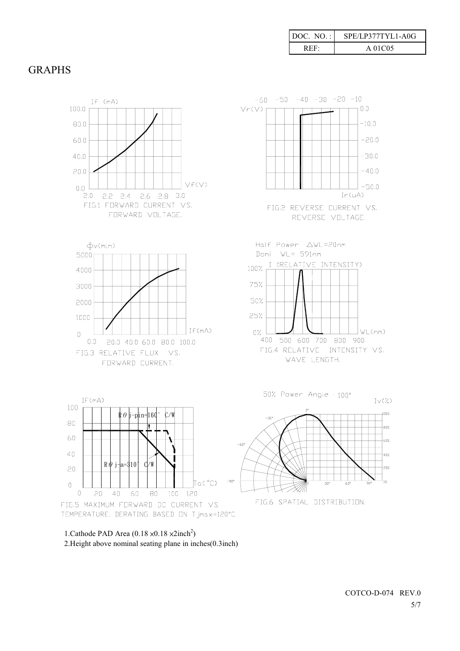| $DOC. NO.$ : | SPE/LP377TYL1-A0G |
|--------------|-------------------|
| REF:         | A 01C05           |

## **GRAPHS**



1. Cathode PAD Area  $(0.18 \times 0.18 \times 2 \text{inch}^2)$ 2. Height above nominal seating plane in inches(0.3inch)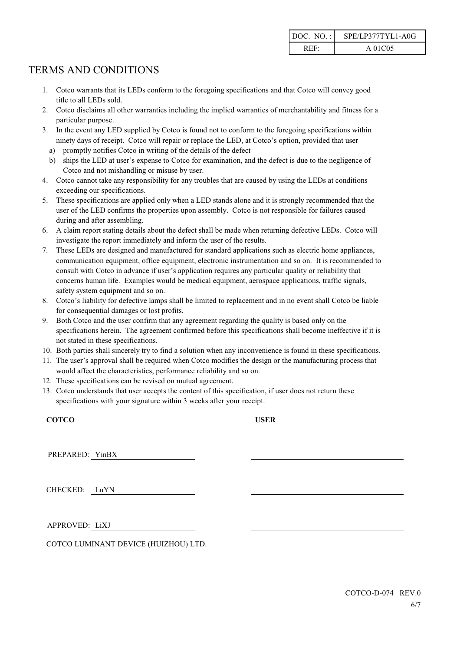| DOC. $NO.$ : | SPE/LP377TYL1-A0G |
|--------------|-------------------|
| REF:         | A 01C05           |

# **TERMS AND CONDITIONS**

- 1. Cotco warrants that its LEDs conform to the foregoing specifications and that Cotco will convey good title to all LEDs sold.
- 2. Cotco disclaims all other warranties including the implied warranties of merchantability and fitness for a particular purpose.
- 3. In the event any LED supplied by Cotco is found not to conform to the foregoing specifications within ninety days of receipt. Cotco will repair or replace the LED, at Cotco's option, provided that user
	- a) promptly notifies Cotco in writing of the details of the defect
	- b) ships the LED at user's expense to Cotco for examination, and the defect is due to the negligence of Cotco and not mishandling or misuse by user.
- 4. Cotco cannot take any responsibility for any troubles that are caused by using the LEDs at conditions exceeding our specifications.
- 5. These specifications are applied only when a LED stands alone and it is strongly recommended that the user of the LED confirms the properties upon assembly. Cotco is not responsible for failures caused during and after assembling.
- 6. A claim report stating details about the defect shall be made when returning defective LEDs. Cotco will investigate the report immediately and inform the user of the results.
- 7. These LEDs are designed and manufactured for standard applications such as electric home appliances, communication equipment, office equipment, electronic instrumentation and so on. It is recommended to consult with Cotco in advance if user's application requires any particular quality or reliability that concerns human life. Examples would be medical equipment, aerospace applications, traffic signals, safety system equipment and so on.
- 8. Cotco's liability for defective lamps shall be limited to replacement and in no event shall Cotco be liable for consequential damages or lost profits.
- 9. Both Cotco and the user confirm that any agreement regarding the quality is based only on the specifications herein. The agreement confirmed before this specifications shall become ineffective if it is not stated in these specifications.
- 10. Both parties shall sincerely try to find a solution when any inconvenience is found in these specifications.
- 11. The user's approval shall be required when Cotco modifies the design or the manufacturing process that would affect the characteristics, performance reliability and so on.
- 12. These specifications can be revised on mutual agreement.
- 13. Cotco understands that user accepts the content of this specification, if user does not return these specifications with your signature within 3 weeks after your receipt.

COTCO

**USER** 

PREPARED: YinBX

CHECKED: LuYN

APPROVED: LiXJ

COTCO LUMINANT DEVICE (HUIZHOU) LTD.